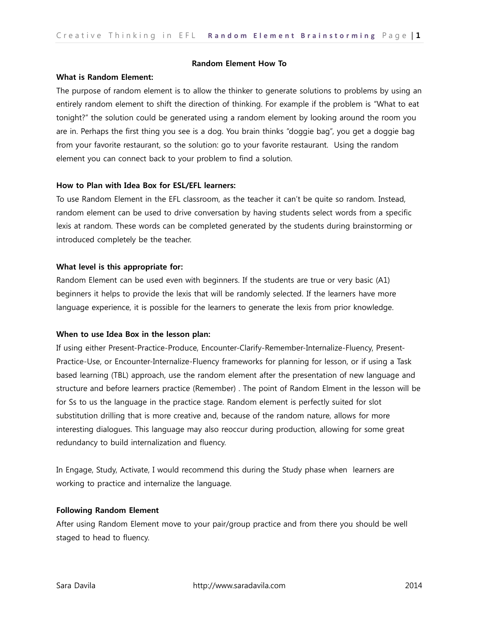### **Random Element How To**

## **What is Random Element:**

The purpose of random element is to allow the thinker to generate solutions to problems by using an entirely random element to shift the direction of thinking. For example if the problem is "What to eat tonight?" the solution could be generated using a random element by looking around the room you are in. Perhaps the first thing you see is a dog. You brain thinks "doggie bag", you get a doggie bag from your favorite restaurant, so the solution: go to your favorite restaurant. Using the random element you can connect back to your problem to find a solution.

### **How to Plan with Idea Box for ESL/EFL learners:**

To use Random Element in the EFL classroom, as the teacher it can't be quite so random. Instead, random element can be used to drive conversation by having students select words from a specific lexis at random. These words can be completed generated by the students during brainstorming or introduced completely be the teacher.

## **What level is this appropriate for:**

Random Element can be used even with beginners. If the students are true or very basic (A1) beginners it helps to provide the lexis that will be randomly selected. If the learners have more language experience, it is possible for the learners to generate the lexis from prior knowledge.

#### **When to use Idea Box in the lesson plan:**

If using either Present-Practice-Produce, Encounter-Clarify-Remember-Internalize-Fluency, Present-Practice-Use, or Encounter-Internalize-Fluency frameworks for planning for lesson, or if using a Task based learning (TBL) approach, use the random element after the presentation of new language and structure and before learners practice (Remember) . The point of Random Elment in the lesson will be for Ss to us the language in the practice stage. Random element is perfectly suited for slot substitution drilling that is more creative and, because of the random nature, allows for more interesting dialogues. This language may also reoccur during production, allowing for some great redundancy to build internalization and fluency.

In Engage, Study, Activate, I would recommend this during the Study phase when learners are working to practice and internalize the language.

## **Following Random Element**

After using Random Element move to your pair/group practice and from there you should be well staged to head to fluency.